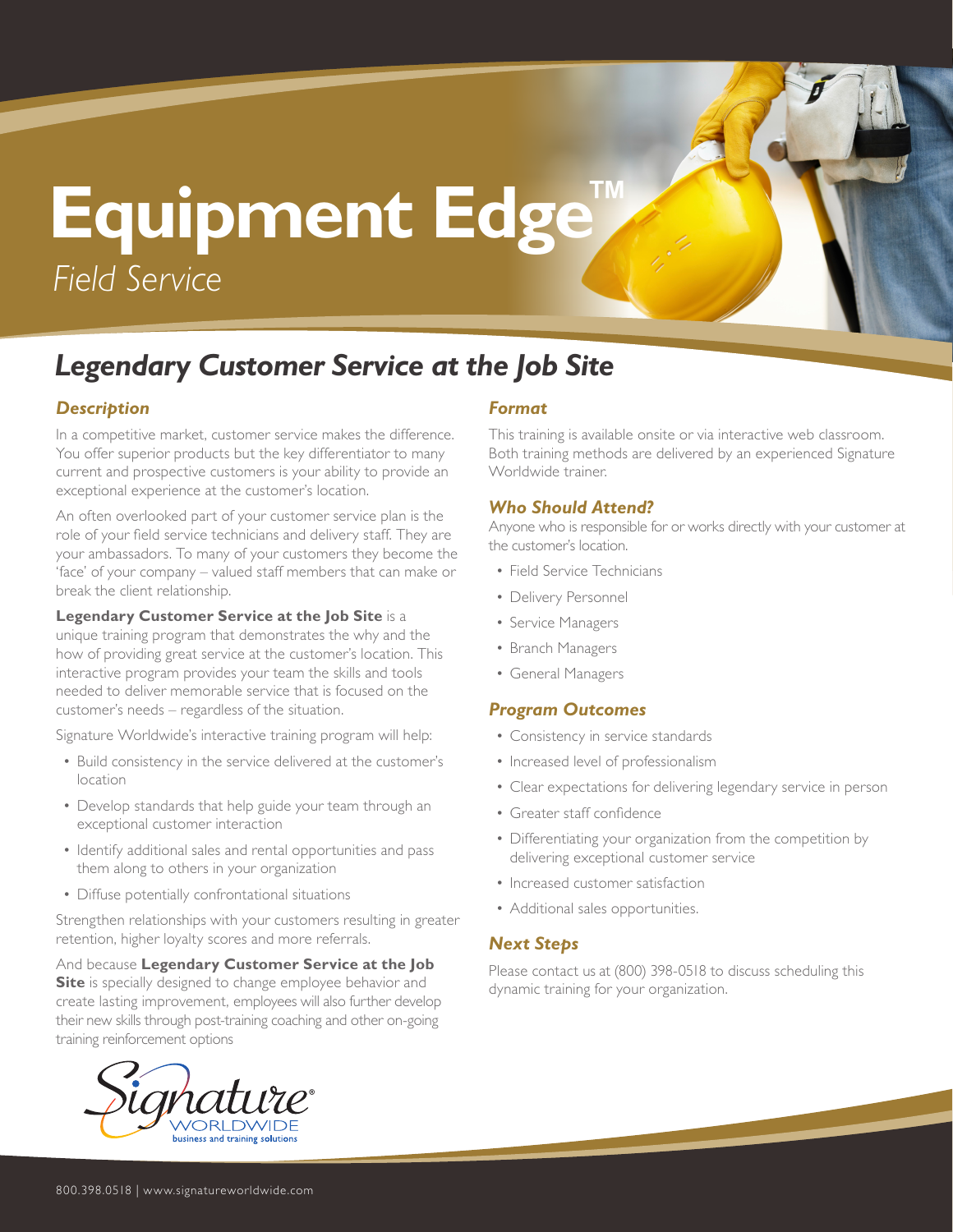# **Equipment Edge™** *Field Service*

### *Legendary Customer Service at the Job Site*

#### *Description*

In a competitive market, customer service makes the difference. You offer superior products but the key differentiator to many current and prospective customers is your ability to provide an exceptional experience at the customer's location.

An often overlooked part of your customer service plan is the role of your field service technicians and delivery staff. They are your ambassadors. To many of your customers they become the 'face' of your company – valued staff members that can make or break the client relationship.

**Legendary Customer Service at the Job Site** is a unique training program that demonstrates the why and the how of providing great service at the customer's location. This interactive program provides your team the skills and tools needed to deliver memorable service that is focused on the customer's needs – regardless of the situation.

Signature Worldwide's interactive training program will help:

- Build consistency in the service delivered at the customer's location
- Develop standards that help guide your team through an exceptional customer interaction
- Identify additional sales and rental opportunities and pass them along to others in your organization
- Diffuse potentially confrontational situations

Strengthen relationships with your customers resulting in greater retention, higher loyalty scores and more referrals.

And because **Legendary Customer Service at the Job Site** is specially designed to change employee behavior and create lasting improvement, employees will also further develop their new skills through post-training coaching and other on-going training reinforcement options



#### *Format*

This training is available onsite or via interactive web classroom. Both training methods are delivered by an experienced Signature Worldwide trainer.

#### *Who Should Attend?*

Anyone who is responsible for or works directly with your customer at the customer's location.

- Field Service Technicians
- Delivery Personnel
- Service Managers
- Branch Managers
- General Managers

#### *Program Outcomes*

- Consistency in service standards
- Increased level of professionalism
- Clear expectations for delivering legendary service in person
- Greater staff confidence
- Differentiating your organization from the competition by delivering exceptional customer service
- Increased customer satisfaction
- Additional sales opportunities.

#### *Next Steps*

Please contact us at (800) 398-0518 to discuss scheduling this dynamic training for your organization.